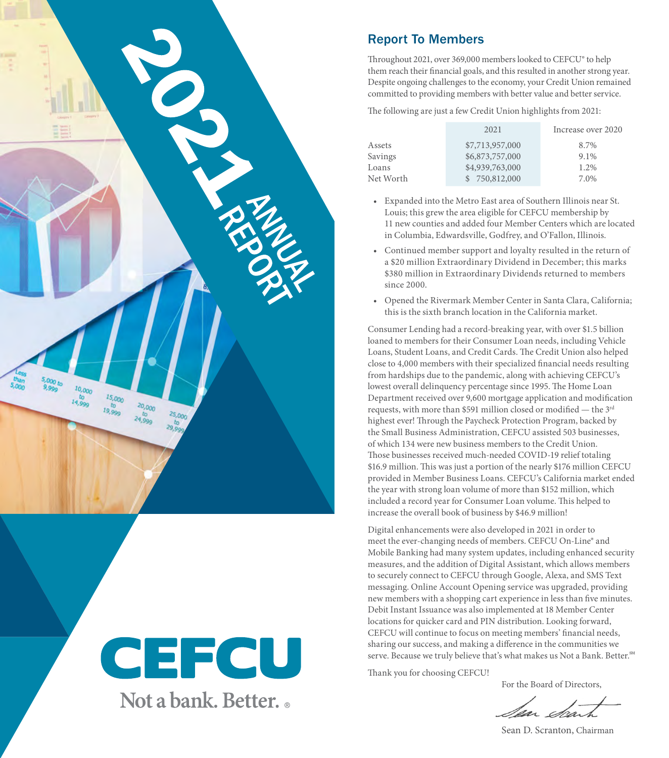

# CEFCU Not a bank, Better.

# Report To Members

Throughout 2021, over 369,000 members looked to CEFCU® to help them reach their financial goals, and this resulted in another strong year. Despite ongoing challenges to the economy, your Credit Union remained committed to providing members with better value and better service.

The following are just a few Credit Union highlights from 2021:

| 2021            | Increase over 2020 |
|-----------------|--------------------|
| \$7,713,957,000 | 8.7%               |
| \$6,873,757,000 | $9.1\%$            |
| \$4,939,763,000 | 1.2%               |
| \$750,812,000   | 7.0%               |
|                 |                    |

- Expanded into the Metro East area of Southern Illinois near St. Louis; this grew the area eligible for CEFCU membership by 11 new counties and added four Member Centers which are located in Columbia, Edwardsville, Godfrey, and O'Fallon, Illinois.
- Continued member support and loyalty resulted in the return of a \$20 million Extraordinary Dividend in December; this marks \$380 million in Extraordinary Dividends returned to members since 2000.
- Opened the Rivermark Member Center in Santa Clara, California; this is the sixth branch location in the California market.

Consumer Lending had a record-breaking year, with over \$1.5 billion loaned to members for their Consumer Loan needs, including Vehicle Loans, Student Loans, and Credit Cards. The Credit Union also helped close to 4,000 members with their specialized financial needs resulting from hardships due to the pandemic, along with achieving CEFCU's lowest overall delinquency percentage since 1995. The Home Loan Department received over 9,600 mortgage application and modification requests, with more than \$591 million closed or modified — the 3rd highest ever! Through the Paycheck Protection Program, backed by the Small Business Administration, CEFCU assisted 503 businesses, of which 134 were new business members to the Credit Union. Those businesses received much-needed COVID-19 relief totaling \$16.9 million. This was just a portion of the nearly \$176 million CEFCU provided in Member Business Loans. CEFCU's California market ended the year with strong loan volume of more than \$152 million, which included a record year for Consumer Loan volume. This helped to increase the overall book of business by \$46.9 million!

Digital enhancements were also developed in 2021 in order to meet the ever-changing needs of members. CEFCU On-Line® and Mobile Banking had many system updates, including enhanced security measures, and the addition of Digital Assistant, which allows members to securely connect to CEFCU through Google, Alexa, and SMS Text messaging. Online Account Opening service was upgraded, providing new members with a shopping cart experience in less than five minutes. Debit Instant Issuance was also implemented at 18 Member Center locations for quicker card and PIN distribution. Looking forward, CEFCU will continue to focus on meeting members' financial needs, sharing our success, and making a difference in the communities we serve. Because we truly believe that's what makes us Not a Bank. Better.<sup>84</sup>

Thank you for choosing CEFCU!

For the Board of Directors,

Sean D. Scranton, Chairman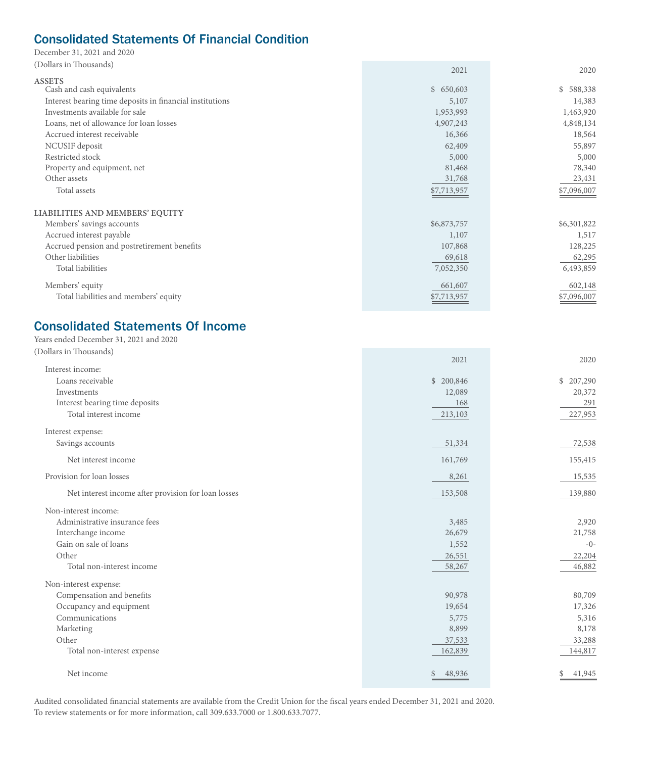# Consolidated Statements Of Financial Condition

December 31, 2021 and 2020  $(20.11 \times H)$ 

| (Dollars in Thousands)                                   | 2021        | 2020        |
|----------------------------------------------------------|-------------|-------------|
| <b>ASSETS</b>                                            |             |             |
| Cash and cash equivalents                                | \$650,603   | \$588,338   |
| Interest bearing time deposits in financial institutions | 5,107       | 14,383      |
| Investments available for sale                           | 1,953,993   | 1,463,920   |
| Loans, net of allowance for loan losses                  | 4,907,243   | 4,848,134   |
| Accrued interest receivable                              | 16,366      | 18,564      |
| NCUSIF deposit                                           | 62,409      | 55,897      |
| Restricted stock                                         | 5,000       | 5,000       |
| Property and equipment, net                              | 81,468      | 78,340      |
| Other assets                                             | 31,768      | 23,431      |
| Total assets                                             | \$7,713,957 | \$7,096,007 |
| LIABILITIES AND MEMBERS' EQUITY                          |             |             |
| Members' savings accounts                                | \$6,873,757 | \$6,301,822 |
| Accrued interest payable                                 | 1,107       | 1,517       |
| Accrued pension and postretirement benefits              | 107,868     | 128,225     |
| Other liabilities                                        | 69,618      | 62,295      |
| Total liabilities                                        | 7,052,350   | 6,493,859   |
| Members' equity                                          | 661,607     | 602,148     |
| Total liabilities and members' equity                    | \$7,713,957 | \$7,096,007 |
|                                                          |             |             |

# Consolidated Statements Of Income

| Years ended December 31, 2021 and 2020              |                          |              |
|-----------------------------------------------------|--------------------------|--------------|
| (Dollars in Thousands)                              |                          |              |
| Interest income:                                    | 2021                     | 2020         |
| Loans receivable                                    | \$ 200,846               | \$ 207,290   |
| Investments                                         | 12,089                   | 20,372       |
| Interest bearing time deposits                      | 168                      | 291          |
| Total interest income                               | 213,103                  | 227,953      |
|                                                     |                          |              |
| Interest expense:                                   |                          |              |
| Savings accounts                                    | 51,334                   | 72,538       |
| Net interest income                                 | 161,769                  | 155,415      |
| Provision for loan losses                           | 8,261                    | 15,535       |
| Net interest income after provision for loan losses | 153,508                  | 139,880      |
| Non-interest income:                                |                          |              |
| Administrative insurance fees                       | 3,485                    | 2,920        |
| Interchange income                                  | 26,679                   | 21,758       |
| Gain on sale of loans                               | 1,552                    | $-0-$        |
| Other                                               | 26,551                   | 22,204       |
| Total non-interest income                           | 58,267                   | 46,882       |
| Non-interest expense:                               |                          |              |
| Compensation and benefits                           | 90,978                   | 80,709       |
| Occupancy and equipment                             | 19,654                   | 17,326       |
| Communications                                      | 5,775                    | 5,316        |
| Marketing                                           | 8,899                    | 8,178        |
| Other                                               | 37,533                   | 33,288       |
| Total non-interest expense                          | 162,839                  | 144,817      |
| Net income                                          | 48,936<br>$\mathbb{S}^-$ | \$<br>41,945 |

Audited consolidated financial statements are available from the Credit Union for the fiscal years ended December 31, 2021 and 2020. To review statements or for more information, call 309.633.7000 or 1.800.633.7077.